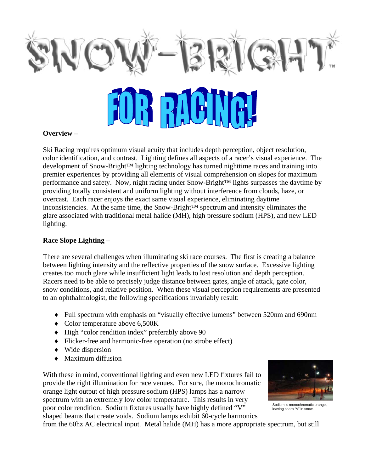

#### **Overview –**

Ski Racing requires optimum visual acuity that includes depth perception, object resolution, color identification, and contrast. Lighting defines all aspects of a racer's visual experience. The development of Snow-Bright™ lighting technology has turned nighttime races and training into premier experiences by providing all elements of visual comprehension on slopes for maximum performance and safety. Now, night racing under Snow-Bright™ lights surpasses the daytime by providing totally consistent and uniform lighting without interference from clouds, haze, or overcast. Each racer enjoys the exact same visual experience, eliminating daytime inconsistencies. At the same time, the Snow-Bright™ spectrum and intensity eliminates the glare associated with traditional metal halide (MH), high pressure sodium (HPS), and new LED lighting.

### **Race Slope Lighting –**

There are several challenges when illuminating ski race courses. The first is creating a balance between lighting intensity and the reflective properties of the snow surface. Excessive lighting creates too much glare while insufficient light leads to lost resolution and depth perception. Racers need to be able to precisely judge distance between gates, angle of attack, gate color, snow conditions, and relative position. When these visual perception requirements are presented to an ophthalmologist, the following specifications invariably result:

- ♦ Full spectrum with emphasis on "visually effective lumens" between 520nm and 690nm
- ◆ Color temperature above 6,500K
- ♦ High "color rendition index" preferably above 90
- ♦ Flicker-free and harmonic-free operation (no strobe effect)
- ♦ Wide dispersion
- ♦ Maximum diffusion

With these in mind, conventional lighting and even new LED fixtures fail to provide the right illumination for race venues. For sure, the monochromatic orange light output of high pressure sodium (HPS) lamps has a narrow spectrum with an extremely low color temperature. This results in very poor color rendition. Sodium fixtures usually have highly defined "V" shaped beams that create voids. Sodium lamps exhibit 60-cycle harmonics



Sodium is monochromatic orange, leaving sharp "V" in snow.

from the 60hz AC electrical input. Metal halide (MH) has a more appropriate spectrum, but still